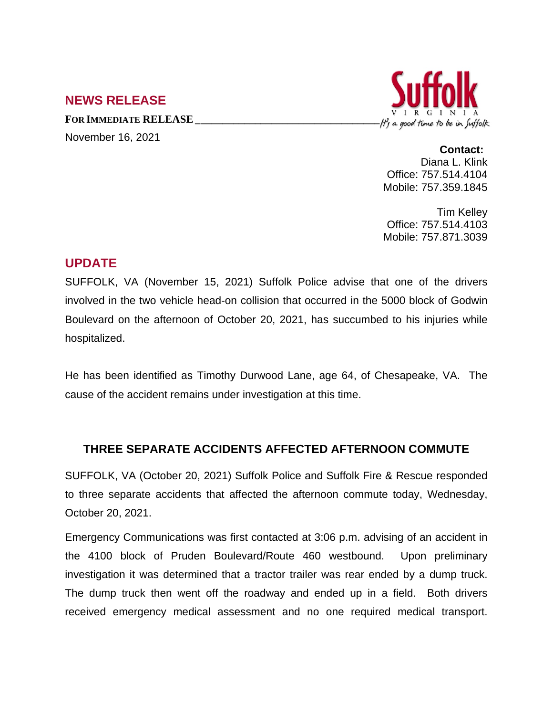## **NEWS RELEASE**

**FOR IMMEDIATE RELEASE\_\_\_\_\_\_\_\_\_\_\_\_\_\_\_\_\_\_\_\_\_\_\_\_\_\_\_\_\_\_\_\_\_\_** November 16, 2021



**Contact:** Diana L. Klink

Office: 757.514.4104 Mobile: 757.359.1845

Tim Kelley Office: 757.514.4103 Mobile: 757.871.3039

## **UPDATE**

SUFFOLK, VA (November 15, 2021) Suffolk Police advise that one of the drivers involved in the two vehicle head-on collision that occurred in the 5000 block of Godwin Boulevard on the afternoon of October 20, 2021, has succumbed to his injuries while hospitalized.

He has been identified as Timothy Durwood Lane, age 64, of Chesapeake, VA. The cause of the accident remains under investigation at this time.

## **THREE SEPARATE ACCIDENTS AFFECTED AFTERNOON COMMUTE**

SUFFOLK, VA (October 20, 2021) Suffolk Police and Suffolk Fire & Rescue responded to three separate accidents that affected the afternoon commute today, Wednesday, October 20, 2021.

Emergency Communications was first contacted at 3:06 p.m. advising of an accident in the 4100 block of Pruden Boulevard/Route 460 westbound. Upon preliminary investigation it was determined that a tractor trailer was rear ended by a dump truck. The dump truck then went off the roadway and ended up in a field. Both drivers received emergency medical assessment and no one required medical transport.